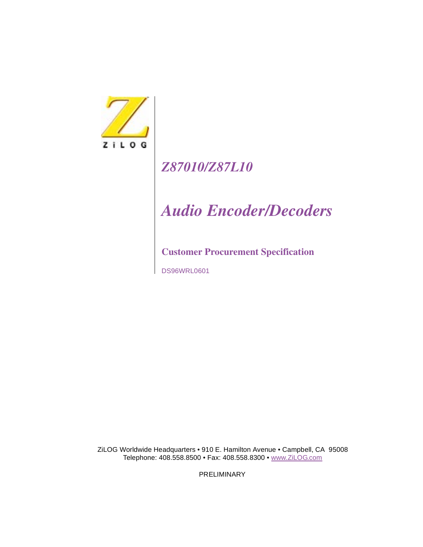

# *Z87010/Z87L10*

# *Audio Encoder/Decoders*

### **Customer Procurement Specification**

DS96WRL0601

ZiLOG Worldwide Headquarters • 910 E. Hamilton Avenue • Campbell, CA 95008 Telephone: 408.558.8500 • Fax: 408.558.8300 • www.ZiLOG.com

PRELIMINARY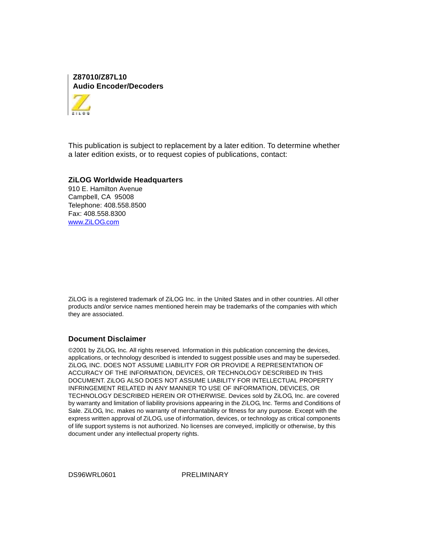**Z87010/Z87L10 Audio Encoder/Decoders**



This publication is subject to replacement by a later edition. To determine whether a later edition exists, or to request copies of publications, contact:

#### **ZiLOG Worldwide Headquarters**

910 E. Hamilton Avenue Campbell, CA 95008 Telephone: 408.558.8500 Fax: 408.558.8300 www.ZiLOG.com

ZiLOG is a registered trademark of ZiLOG Inc. in the United States and in other countries. All other products and/or service names mentioned herein may be trademarks of the companies with which they are associated.

#### **Document Disclaimer**

©2001 by ZiLOG, Inc. All rights reserved. Information in this publication concerning the devices, applications, or technology described is intended to suggest possible uses and may be superseded. ZiLOG, INC. DOES NOT ASSUME LIABILITY FOR OR PROVIDE A REPRESENTATION OF ACCURACY OF THE INFORMATION, DEVICES, OR TECHNOLOGY DESCRIBED IN THIS DOCUMENT. ZiLOG ALSO DOES NOT ASSUME LIABILITY FOR INTELLECTUAL PROPERTY INFRINGEMENT RELATED IN ANY MANNER TO USE OF INFORMATION, DEVICES, OR TECHNOLOGY DESCRIBED HEREIN OR OTHERWISE. Devices sold by ZiLOG, Inc. are covered by warranty and limitation of liability provisions appearing in the ZiLOG, Inc. Terms and Conditions of Sale. ZiLOG, Inc. makes no warranty of merchantability or fitness for any purpose. Except with the express written approval of ZiLOG, use of information, devices, or technology as critical components of life support systems is not authorized. No licenses are conveyed, implicitly or otherwise, by this document under any intellectual property rights.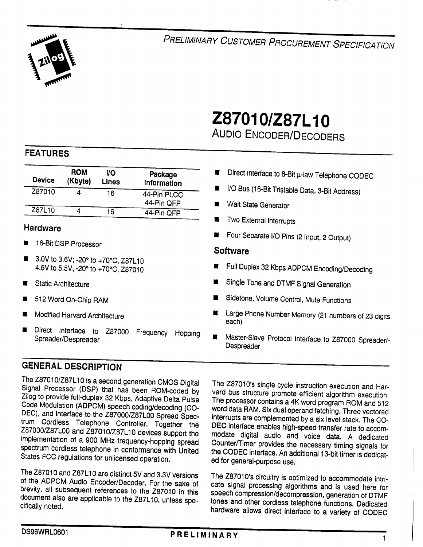

PRELIMINARY CUSTOMER PROCUREMENT SPECIFICATION

# Z87010/Z87L10 **AUDIO ENCODER/DECODERS**

#### **FEATURES**

| <b>Device</b> | <b>ROM</b><br>(Kbyte) | VO<br><b>Lines</b> | Package<br>Information    |
|---------------|-----------------------|--------------------|---------------------------|
| Z87010        |                       | 16                 | 44-Pin PLCC<br>44-Pin OFP |
| Z87L10        |                       | 16                 | 44-Pin QFP                |

#### **Hardware**

- 16-Bit DSP Processor
- 3.0V to 3.6V; -20° to +70°C, Z87L10 4.5V to 5.5V, -20° to +70°C, Z87010
- **Static Architecture**
- 512 Word On-Chip RAM
- Modified Harvard Architecture
- Direct Interface to Z87000 Frequency Hopping Spreader/Despreader

### **GENERAL DESCRIPTION**

The Z87010/Z87L10 is a second generation CMOS Digital Signal Processor (DSP) that has been ROM-coded by Zilog to provide full-duplex 32 Kbps, Adaptive Delta Pulse Code Modulation (ADPCM) speech coding/decoding (CO-DEC), and interface to the Z87000/Z87L00 Spread Spectrum Cordless Telephone Controller. Together the Z87000/Z87L00 and Z87010/Z87L10 devices support the implementation of a 900 MHz frequency-hopping spread spectrum cordiess telephone in conformance with United States FCC regulations for unlicensed operation.

The Z87010 and Z87L10 are distinct 5V and 3.3V versions of the ADPCM Audio Encoder/Decoder. For the sake of brevity, all subsequent references to the Z87010 in this document also are applicable to the Z87L10, unless specifically noted.

- Direct Interface to 8-Bit µ-law Telephone CODEC
- I/O Bus (16-Bit Tristable Data, 3-Bit Address)
- Wait State Generator
- Two External Interrupts
- Four Separate I/O Pins (2 Input, 2 Output)

#### **Software**

- Full Duplex 32 Kbps ADPCM Encoding/Decoding
- Single Tone and DTMF Signal Generation
- Sidetone, Volume Control, Mute Functions
- Large Phone Number Memory (21 numbers of 23 digits each)
- Master-Slave Protocol Interface to Z87000 Spreader/-Despreader

The Z87010's single cycle instruction execution and Harvard bus structure promote efficient algorithm execution. The processor contains a 4K word program ROM and 512 word data RAM. Six dual operand fetching. Three vectored interrupts are complemented by a six level stack. The CO-DEC interface enables high-speed transfer rate to accommodate digital audio and voice data. A dedicated Counter/Timer provides the necessary timing signals for the CODEC interface. An additional 13-bit timer is dedicated for general-purpose use.

The Z87010's circuitry is optimized to accommodate intricate signal processing algorithms and is used here for speech compression/decompression, generation of DTMF tones and other cordless telephone functions. Dedicated hardware allows direct interface to a variety of CODEC

 $\mathbf{1}$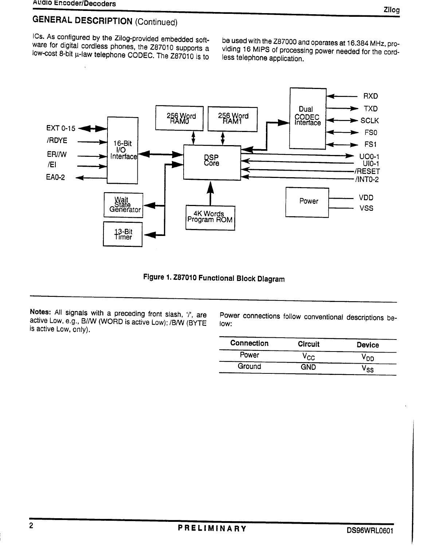ICs. As configured by the Zilog-provided embedded software for digital cordless phones, the Z87010 supports a low-cost 8-bit µ-law telephone CODEC. The Z87010 is to

be used with the Z87000 and operates at 16.384 MHz, providing 16 MIPS of processing power needed for the cordless telephone application.



Figure 1. Z87010 Functional Block Diagram

Notes: All signals with a preceding front slash, '/', are active Low, e.g., B//W (WORD is active Low); /B/W (BYTE is active Low, only).

Power connections follow conventional descriptions below:

| <b>Connection</b> | <b>Circuit</b> | <b>Device</b> |
|-------------------|----------------|---------------|
| Power             | /cc            | `nn.          |
| Ground            | GND            | ۶S.           |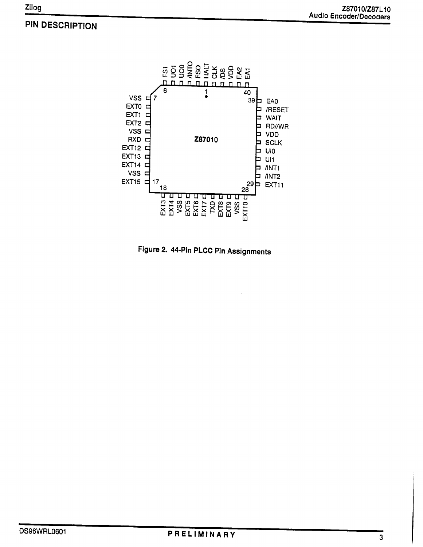### PIN DESCRIPTION



### Figure 2. 44-Pin PLCC Pin Assignments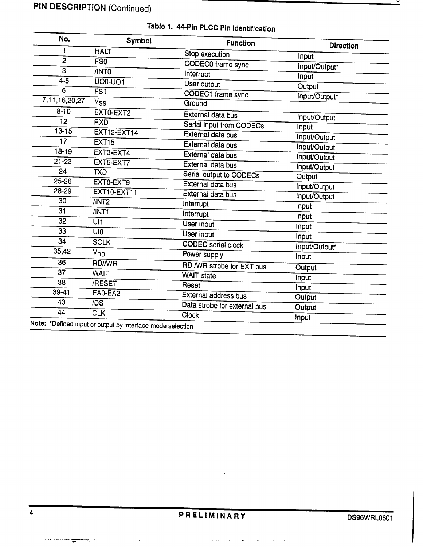## **PIN DESCRIPTION (Continued)**

| 1<br>2<br>3<br>$4 - 5$<br>6<br>7,11,16,20,27<br>$8 - 10$ | <b>HALT</b><br>FSO<br>/INTO<br><b>UO0-UO1</b><br>FSI<br>$V_{\mathbf{SS}}$ | Stop execution<br><b>CODEC0</b> frame sync<br>Interrupt<br><b>User output</b><br>CODEC1 frame sync | Input<br>Input/Output*<br>Input<br>Output |
|----------------------------------------------------------|---------------------------------------------------------------------------|----------------------------------------------------------------------------------------------------|-------------------------------------------|
|                                                          |                                                                           |                                                                                                    |                                           |
|                                                          |                                                                           |                                                                                                    |                                           |
|                                                          |                                                                           |                                                                                                    |                                           |
|                                                          |                                                                           |                                                                                                    |                                           |
|                                                          |                                                                           |                                                                                                    | Input/Output*                             |
|                                                          |                                                                           | Ground                                                                                             |                                           |
|                                                          | EXTO-EXT2                                                                 | External data bus                                                                                  | Input/Output                              |
| 12                                                       | <b>RXD</b>                                                                | Serial input from CODECs                                                                           | Input                                     |
| $13 - 15$                                                | <b>EXT12-EXT14</b>                                                        | External data bus                                                                                  | Input/Output                              |
| 17                                                       | <b>EXT15</b>                                                              | External data bus                                                                                  | Input/Output                              |
| $18 - 19$                                                | EXT3-EXT4                                                                 | External data bus                                                                                  | Input/Output                              |
| $21 - 23$                                                | EXT5-EXT7                                                                 | External data bus                                                                                  | Input/Output                              |
| 24                                                       | TXD                                                                       | Serial output to CODECs                                                                            | <b>Output</b>                             |
| 25-26                                                    | EXT8-EXT9                                                                 | External data bus                                                                                  | Input/Output                              |
| $28 - 29$                                                | <b>EXT10-EXT11</b>                                                        | External data bus                                                                                  | Input/Output                              |
| 30                                                       | /INT2                                                                     | Interrupt                                                                                          | Input                                     |
| 31                                                       | /INT1                                                                     | Interrupt                                                                                          | Input                                     |
| 32                                                       | UI1                                                                       | <b>User input</b>                                                                                  | Input                                     |
| 33                                                       | UIO <sup></sup>                                                           | User input                                                                                         | Input                                     |
| 34                                                       | <b>SCLK</b>                                                               | <b>CODEC</b> serial clock                                                                          | Input/Output*                             |
| 35,42                                                    | V <sub>DD</sub>                                                           | Power supply                                                                                       | <b>Input</b>                              |
| 36                                                       | <b>RD//WR</b>                                                             | RD /WR strobe for EXT bus                                                                          |                                           |
| 37                                                       | <b>WAIT</b>                                                               | <b>WAIT</b> state                                                                                  | Output                                    |
| 38                                                       | /RESET                                                                    | Reset                                                                                              | Input                                     |
| $39 - 41$                                                | EAO-EA2                                                                   | External address bus                                                                               | Input                                     |
| 43                                                       | /DS                                                                       | Data strobe for external bus                                                                       | Output                                    |
| 44                                                       | <b>CLK</b>                                                                | <b>Clock</b>                                                                                       | Output<br>Input                           |

## Table 1. 44-Pin PLCC Pin Identification

 $\tau_{\rm eff}$  ,  $\zeta_{\rm esc}$  ,

 $\tau_{\rm eff}$  is one of  $\tau_{\rm max}$ 

 $\omega$ 

 $\hat{\tau}_\mathrm{S}(\hat{\tau}_\mathrm{S})$ 

 $\tau$  (  $\tau$ 

≚

فأراد والمتحدث والمنادر

 $\sim 10^{11}$ 

 $\hat{\beta}$  ,  $\hat{\beta}$  ,  $\hat{\beta}$  , and  $\hat{\beta}$  , and  $\hat{\beta}$  ,  $\hat{\beta}$  , and

 $\sim$ . . . a

engeles men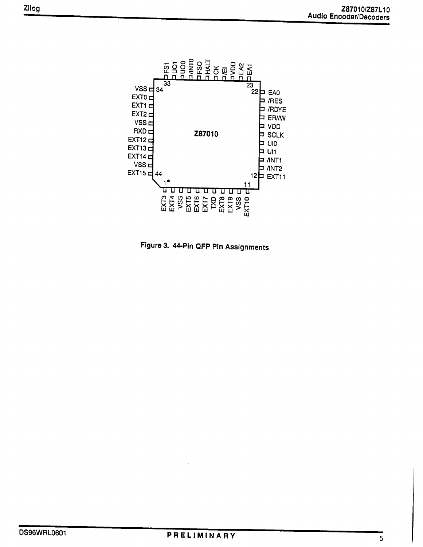

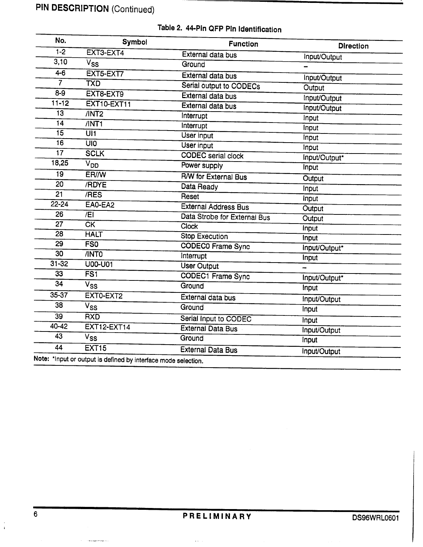| No.             | <b>Symbol</b>                                                  | <b>Function</b>              | <b>Direction</b> |
|-----------------|----------------------------------------------------------------|------------------------------|------------------|
| $1 - 2$         | EXT3-EXT4                                                      | External data bus            | Input/Output     |
| 3,10            | $V_{SS}$                                                       | Ground                       |                  |
| $4 - 6$         | EXT5-EXT7                                                      | External data bus            | Input/Output     |
| $\overline{7}$  | <b>TXD</b>                                                     | Serial output to CODECs      | Output           |
| $8-9$           | EXT8-EXT9                                                      | External data bus            | Input/Output     |
| $11 - 12$       | <b>EXT10-EXT11</b>                                             | External data bus            | Input/Output     |
| 13              | /INT2                                                          | Interrupt                    | Input            |
| 14              | /INT1                                                          | Interrupt                    | Input            |
| 15              | $U$ <sub>11</sub>                                              | User input                   | Input            |
| 16              | <b>UIO</b>                                                     | <b>User input</b>            | Input            |
| 17              | <b>SCLK</b>                                                    | <b>CODEC</b> serial clock    | Input/Output*    |
| 18,25           | $\overline{V}_{DD}$                                            | Power supply                 | Input            |
| 19              | <b>ER/W</b>                                                    | <b>R/W</b> for External Bus  | Output           |
| 20              | /RDYE                                                          | Data Ready                   | Input            |
| 21              | /RES                                                           | Reset                        | Input            |
| $22 - 24$       | EAO-EA2                                                        | <b>External Address Bus</b>  | Output           |
| 26              | $\overline{E}$                                                 | Data Strobe for External Bus | Output           |
| 27              | CK                                                             | <b>Clock</b>                 | Input            |
| 28              | <b>HALT</b>                                                    | <b>Stop Execution</b>        | Input            |
| 29              | $\overline{\text{FSO}}$                                        | <b>CODECO</b> Frame Sync     | Input/Output*    |
| 30              | /INTO                                                          | Interrupt                    | Input            |
| $31 - 32$       | U00-U01                                                        | <b>User Output</b>           |                  |
| 33              | FSI                                                            | CODEC1 Frame Sync            | Input/Output*    |
| $\overline{34}$ | $\bar{V}_{SS}$                                                 | Ground                       | Input            |
| 35-37           | EXTO-EXT2                                                      | External data bus            | Input/Output     |
| 38              | $\overline{V}_{SS}$                                            | Ground                       | Input            |
| 39              | <b>RXD</b>                                                     | Serial Input to CODEC        |                  |
| 40-42           | <b>EXT12-EXT14</b>                                             | <b>External Data Bus</b>     | Input            |
| 43              | V <sub>SS</sub>                                                | Ground                       | Input/Output     |
| 44              | <b>EXT15</b>                                                   |                              | Input            |
|                 | Note: *Input or output is defined by interface mode selection. | <b>External Data Bus</b>     | Input/Output     |

## Table 2. 44-Pin QFP Pin Identification

 $\varphi_{\sigma}$  .

 $\sim$  mass and consider  $\sim$  .

 $\frac{1}{4}$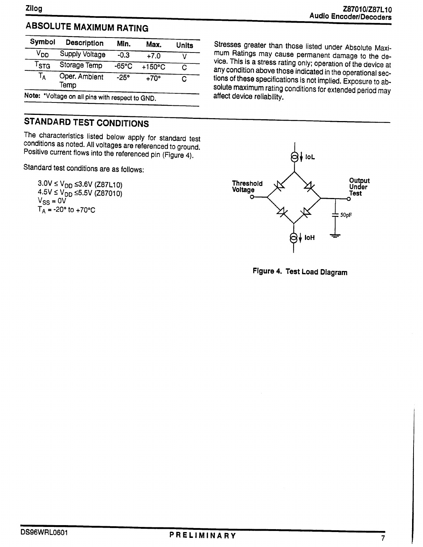### **ABSOLUTE MAXIMUM RATING**

| <b>Description</b>    | Min.            | Max.             | Units |
|-----------------------|-----------------|------------------|-------|
| <b>Supply Voltage</b> | $-0.3$          | $+7.0$           |       |
| Storage Temp          | $-65^{\circ}$ C | $+150^{\circ}$ C | C     |
| Oper. Ambient<br>Temp | $-25^\circ$     | $+70^\circ$      |       |
|                       |                 |                  |       |

Note: \*Voltage on all pins with respect to GND.

### **STANDARD TEST CONDITIONS**

The characteristics listed below apply for standard test conditions as noted. All voltages are referenced to ground. Positive current flows into the referenced pin (Figure 4).

Standard test conditions are as follows:

 $3.0V \le V_{DD} \le 3.6V$  (Z87L10)  $4.5V \le V_{DD} \le 5.5V$  (Z87010)<br>Vss = 0V  $T_A = -20^\circ$  to  $+70^\circ C$ 

Stresses greater than those listed under Absolute Maximum Ratings may cause permanent damage to the device. This is a stress rating only; operation of the device at any condition above those indicated in the operational sections of these specifications is not implied. Exposure to absolute maximum rating conditions for extended period may affect device reliability.



Figure 4. Test Load Diagram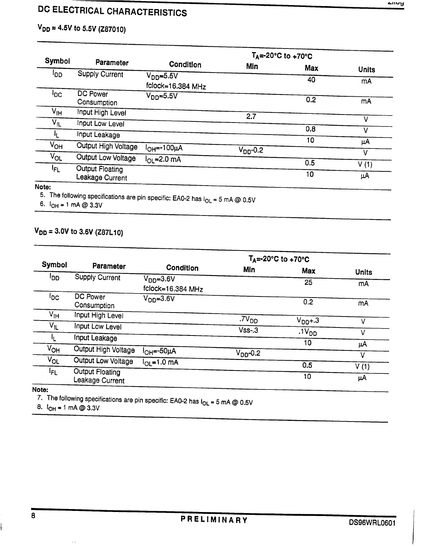## DC ELECTRICAL CHARACTERISTICS

## $V_{DD} = 4.5V$  to 5.5V (Z87010)

|                 |                                           | $T_A = -20^\circ \text{C}$ to $+70^\circ \text{C}$ |                   |            |              |  |
|-----------------|-------------------------------------------|----------------------------------------------------|-------------------|------------|--------------|--|
| <b>Symbol</b>   | Parameter                                 | Condition                                          | Min               | <b>Max</b> | <b>Units</b> |  |
| ססי             | <b>Supply Current</b>                     | $V_{DD} = 5.5V$<br>fclock=16.384 MHz               |                   | 40         | mA           |  |
| <sup>l</sup> DC | <b>DC Power</b><br>Consumption            | V <sub>DD</sub> =5.5V                              |                   | 0.2        | mA           |  |
| V <sub>IH</sub> | Input High Level                          |                                                    | 2.7               |            |              |  |
| $V_{IL}$        | Input Low Level                           |                                                    |                   |            |              |  |
| ΙŁ.             | Input Leakage                             |                                                    |                   | 0.8        | v            |  |
| Ѵѹ              | Output High Voltage                       | l <sub>OH</sub> =-100µА                            | $\rm V_{DD}$ -0.2 | 10         | μA           |  |
| $V_{OL}$        | Output Low Voltage                        | $I_{OL}$ =2.0 mA                                   |                   |            | ν            |  |
| lFL.            | <b>Output Floating</b><br>Leakage Current |                                                    |                   | 0.5<br>10  | V(1)<br>μA   |  |

#### Note:

5. The following specifications are pin specific: EA0-2 has  $I_{OL}$  = 5 mA @ 0.5V

6.  $I_{OH} = 1$  mA @ 3.3V

### $V_{DD} = 3.0V$  to 3.6V (Z87L10)

|                 |                                           | $T_A = -20^\circ \text{C}$ to $+70^\circ \text{C}$ |                      |                   |              |  |
|-----------------|-------------------------------------------|----------------------------------------------------|----------------------|-------------------|--------------|--|
| <b>Symbol</b>   | Parameter                                 | Condition                                          | Min                  | <b>Max</b>        | <b>Units</b> |  |
| ספי             | <b>Supply Current</b>                     | $VDD=3.6V$<br>fclock=16.384 MHz                    |                      | 25                | mA           |  |
| <sup>I</sup> DC | <b>DC Power</b><br>Consumption            | V <sub>DD</sub> =3.6V                              |                      | 0.2               | mA           |  |
| V <sub>IH</sub> | Input High Level                          |                                                    | .7V <sub>DD</sub>    | $V_{DD} + .3$     | V            |  |
| V <sub>IL</sub> | Input Low Level                           |                                                    | $Vss-.3$             | .1V <sub>DD</sub> | v            |  |
| 吐               | Input Leakage                             |                                                    |                      | 10                | μA           |  |
| V <sub>OH</sub> | Output High Voltage                       | l <sub>OH</sub> =-50μΑ                             | V <sub>DD</sub> -0.2 |                   | ٧            |  |
| $V_{OL}$        | Output Low Voltage                        | $I_{\text{OL}} = 1.0 \text{ mA}$                   |                      | 0.5               |              |  |
| I <sub>FL</sub> | <b>Output Floating</b><br>Leakage Current |                                                    |                      | 10                | V(1)<br>μA   |  |

#### Note:

7. The following specifications are pin specific: EA0-2 has  $I_{OL} = 5$  mA @ 0.5V

8.  $I_{OH} = 1$  mA @ 3.3V

ú.

i<br>İ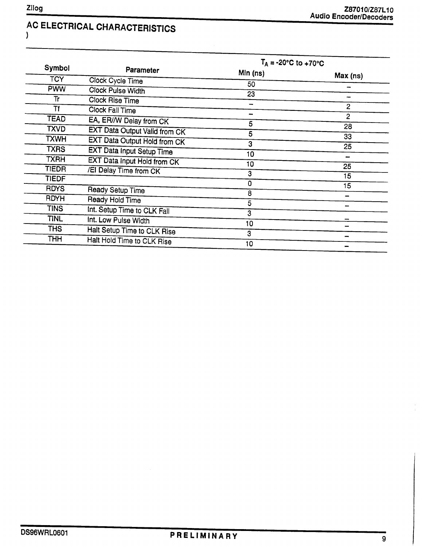#### AC ELECTRICAL CHARACTERISTICS  $\overline{)}$

|                        | $T_A = -20$ °C to $+70$ °C                                                                                                                                                                                                                                                                                                                                                                                                |                                                                                     |
|------------------------|---------------------------------------------------------------------------------------------------------------------------------------------------------------------------------------------------------------------------------------------------------------------------------------------------------------------------------------------------------------------------------------------------------------------------|-------------------------------------------------------------------------------------|
| Parameter              |                                                                                                                                                                                                                                                                                                                                                                                                                           |                                                                                     |
|                        |                                                                                                                                                                                                                                                                                                                                                                                                                           | Max (ns)                                                                            |
|                        |                                                                                                                                                                                                                                                                                                                                                                                                                           |                                                                                     |
| <b>Clock Rise Time</b> |                                                                                                                                                                                                                                                                                                                                                                                                                           |                                                                                     |
|                        |                                                                                                                                                                                                                                                                                                                                                                                                                           | $\overline{2}$                                                                      |
|                        |                                                                                                                                                                                                                                                                                                                                                                                                                           | $\overline{2}$                                                                      |
|                        |                                                                                                                                                                                                                                                                                                                                                                                                                           | 28                                                                                  |
|                        |                                                                                                                                                                                                                                                                                                                                                                                                                           | 33                                                                                  |
|                        |                                                                                                                                                                                                                                                                                                                                                                                                                           | 25                                                                                  |
|                        |                                                                                                                                                                                                                                                                                                                                                                                                                           |                                                                                     |
|                        |                                                                                                                                                                                                                                                                                                                                                                                                                           | 25                                                                                  |
|                        |                                                                                                                                                                                                                                                                                                                                                                                                                           | 15                                                                                  |
|                        |                                                                                                                                                                                                                                                                                                                                                                                                                           | 15                                                                                  |
|                        | 8                                                                                                                                                                                                                                                                                                                                                                                                                         |                                                                                     |
|                        | 5                                                                                                                                                                                                                                                                                                                                                                                                                         |                                                                                     |
|                        | 3                                                                                                                                                                                                                                                                                                                                                                                                                         |                                                                                     |
|                        | 10                                                                                                                                                                                                                                                                                                                                                                                                                        |                                                                                     |
|                        | 3                                                                                                                                                                                                                                                                                                                                                                                                                         |                                                                                     |
|                        |                                                                                                                                                                                                                                                                                                                                                                                                                           |                                                                                     |
|                        | Clock Cycle Time<br>Clock Pulse Width<br>Clock Fall Time<br>EA, ER/W Delay from CK<br><b>EXT Data Output Valid from CK</b><br>EXT Data Output Hold from CK<br><b>EXT Data Input Setup Time</b><br><b>EXT Data Input Hold from CK</b><br>/El Delay Time from CK<br>Ready Setup Time<br>Ready Hold Time<br>Int. Setup Time to CLK Fall<br>Int. Low Pulse Width<br>Halt Setup Time to CLK Rise<br>Halt Hold Time to CLK Rise | Min (ns)<br>50<br>23<br>-<br>-<br>5<br>5<br>3<br>10<br>10<br>3<br>$\mathbf 0$<br>10 |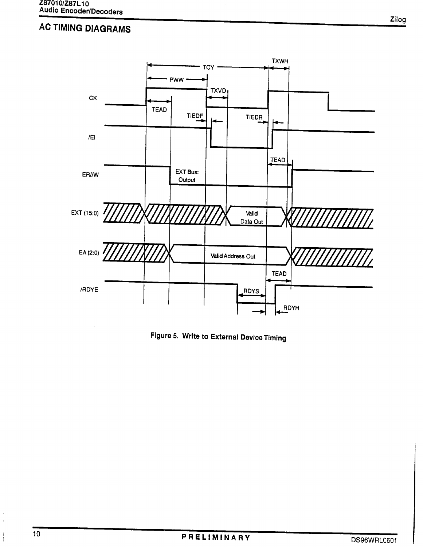## **AC TIMING DIAGRAMS**



Figure 5. Write to External Device Timing

l,

ţ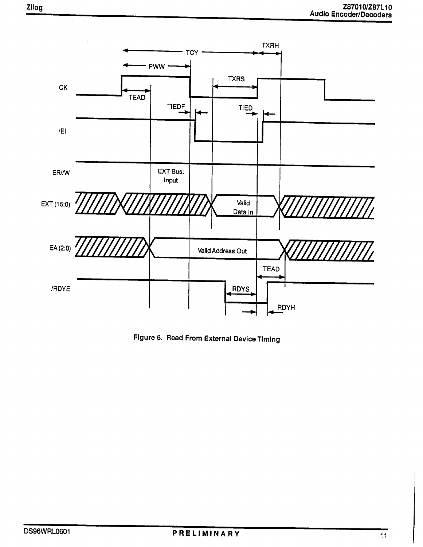

Figure 6. Read From External Device Timing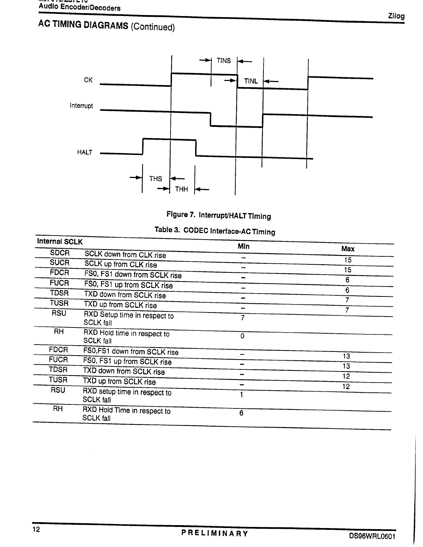# **AC TIMING DIAGRAMS (Continued)**





|  |  | Table 3. CODEC Interface-AC Timing |
|--|--|------------------------------------|
|--|--|------------------------------------|

| <b>Internal SCLK</b> |                                                  | Min |     |  |
|----------------------|--------------------------------------------------|-----|-----|--|
| <b>SDCR</b>          | SCLK down from CLK rise                          |     | Max |  |
| <b>SUCR</b>          | <b>SCLK up from CLK rise</b>                     |     | 15  |  |
| <b>FDCR</b>          | FS0, FS1 down from SCLK rise                     |     | 15  |  |
| <b>FUCR</b>          | FS0, FS1 up from SCLK rise                       |     | 6   |  |
| TDSR                 | TXD down from SCLK rise                          |     | 6   |  |
| TUSR                 | TXD up from SCLK rise                            |     |     |  |
| <b>RSU</b>           | RXD Setup time in respect to<br><b>SCLK fall</b> | 7   |     |  |
| <b>RH</b>            | RXD Hold time in respect to<br><b>SCLK fall</b>  | 0   |     |  |
| <b>FDCR</b>          | FS0,FS1 down from SCLK rise                      |     |     |  |
| <b>FUCR</b>          | FS0, FS1 up from SCLK rise                       |     | 13  |  |
| <b>TDSR</b>          | TXD down from SCLK rise                          |     | 13  |  |
| <b>TUSR</b>          | TXD up from SCLK rise                            |     | 12  |  |
| <b>RSU</b>           | RXD setup time in respect to<br><b>SCLK fall</b> |     | 12  |  |
| <b>RH</b>            | RXD Hold Time in respect to<br><b>SCLK fall</b>  | 6   |     |  |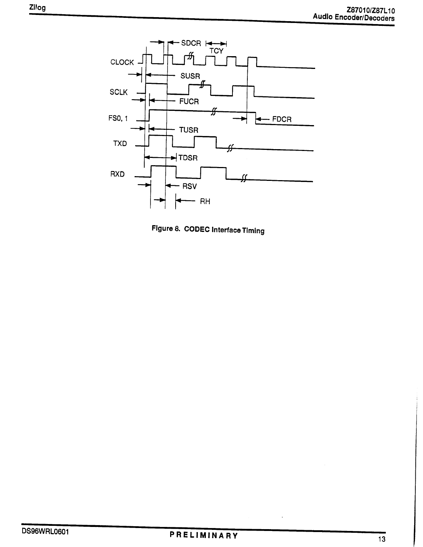

Figure 8. CODEC Interface Timing